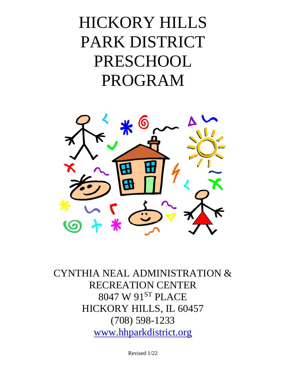# HICKORY HILLS PARK DISTRICT PRESCHOOL PROGRAM



CYNTHIA NEAL ADMINISTRATION & RECREATION CENTER 8047 W 91ST PLACE HICKORY HILLS, IL 60457 (708) 598-1233 [www.hhparkdistrict.org](http://www.hhparkdistrict.org/)

Revised 1/22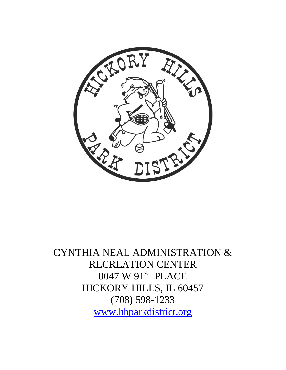

CYNTHIA NEAL ADMINISTRATION & RECREATION CENTER 8047 W 91ST PLACE HICKORY HILLS, IL 60457 (708) 598-1233 [www.hhparkdistrict.org](http://www.hhparkdistrict.org/)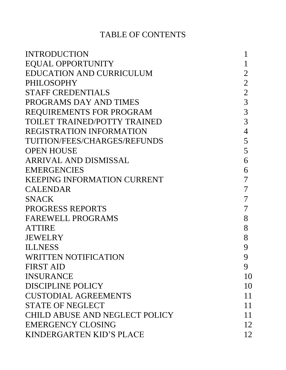## TABLE OF CONTENTS

| <b>INTRODUCTION</b>                   |                  |
|---------------------------------------|------------------|
| <b>EQUAL OPPORTUNITY</b>              |                  |
| <b>EDUCATION AND CURRICULUM</b>       | 2                |
| <b>PHILOSOPHY</b>                     | $\overline{2}$   |
| <b>STAFF CREDENTIALS</b>              | $\overline{2}$   |
| PROGRAMS DAY AND TIMES                | 3                |
| <b>REQUIREMENTS FOR PROGRAM</b>       | 3                |
| TOILET TRAINED/POTTY TRAINED          | 3                |
| <b>REGISTRATION INFORMATION</b>       | $\overline{4}$   |
| TUITION/FEES/CHARGES/REFUNDS          | 5                |
| <b>OPEN HOUSE</b>                     | 5                |
| ARRIVAL AND DISMISSAL                 | 6                |
| <b>EMERGENCIES</b>                    | 6                |
| <b>KEEPING INFORMATION CURRENT</b>    | 7                |
| <b>CALENDAR</b>                       | 7                |
| <b>SNACK</b>                          | 7                |
| <b>PROGRESS REPORTS</b>               | $\overline{7}$   |
| <b>FAREWELL PROGRAMS</b>              | 8                |
| <b>ATTIRE</b>                         | 8                |
| JEWELRY                               | 8                |
| <b>ILLNESS</b>                        | 9                |
| WRITTEN NOTIFICATION                  | $\boldsymbol{Q}$ |
| <b>FIRST AID</b>                      | 9                |
| <b>INSURANCE</b>                      | 10               |
| <b>DISCIPLINE POLICY</b>              | 10               |
| <b>CUSTODIAL AGREEMENTS</b>           | 11               |
| <b>STATE OF NEGLECT</b>               | 11               |
| <b>CHILD ABUSE AND NEGLECT POLICY</b> | 11               |
| <b>EMERGENCY CLOSING</b>              | 12               |
| <b>KINDERGARTEN KID'S PLACE</b>       | 12               |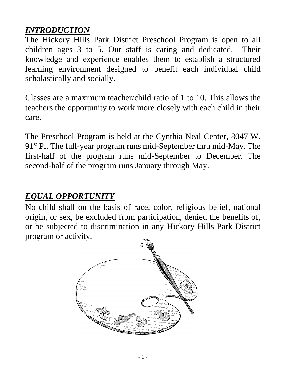## *INTRODUCTION*

The Hickory Hills Park District Preschool Program is open to all children ages 3 to 5. Our staff is caring and dedicated. Their knowledge and experience enables them to establish a structured learning environment designed to benefit each individual child scholastically and socially.

Classes are a maximum teacher/child ratio of 1 to 10. This allows the teachers the opportunity to work more closely with each child in their care.

The Preschool Program is held at the Cynthia Neal Center, 8047 W. 91<sup>st</sup> Pl. The full-year program runs mid-September thru mid-May. The first-half of the program runs mid-September to December. The second-half of the program runs January through May.

# *EQUAL OPPORTUNITY*

No child shall on the basis of race, color, religious belief, national origin, or sex, be excluded from participation, denied the benefits of, or be subjected to discrimination in any Hickory Hills Park District program or activity.

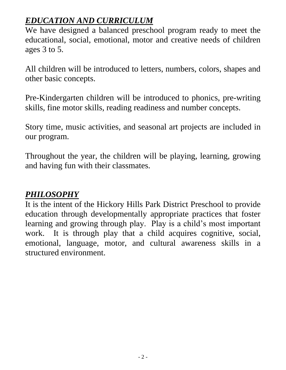# *EDUCATION AND CURRICULUM*

We have designed a balanced preschool program ready to meet the educational, social, emotional, motor and creative needs of children ages 3 to 5.

All children will be introduced to letters, numbers, colors, shapes and other basic concepts.

Pre-Kindergarten children will be introduced to phonics, pre-writing skills, fine motor skills, reading readiness and number concepts.

Story time, music activities, and seasonal art projects are included in our program.

Throughout the year, the children will be playing, learning, growing and having fun with their classmates.

## *PHILOSOPHY*

It is the intent of the Hickory Hills Park District Preschool to provide education through developmentally appropriate practices that foster learning and growing through play. Play is a child's most important work. It is through play that a child acquires cognitive, social, emotional, language, motor, and cultural awareness skills in a structured environment.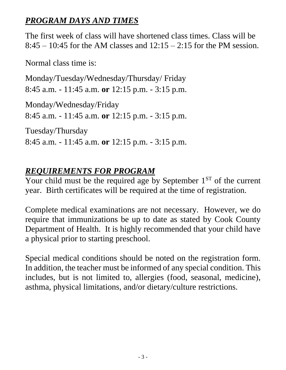# *PROGRAM DAYS AND TIMES*

The first week of class will have shortened class times. Class will be  $8:45 - 10:45$  for the AM classes and  $12:15 - 2:15$  for the PM session.

Normal class time is:

Monday/Tuesday/Wednesday/Thursday/ Friday 8:45 a.m. - 11:45 a.m. **or** 12:15 p.m. - 3:15 p.m.

Monday/Wednesday/Friday 8:45 a.m. - 11:45 a.m. **or** 12:15 p.m. - 3:15 p.m.

Tuesday/Thursday 8:45 a.m. - 11:45 a.m. **or** 12:15 p.m. - 3:15 p.m.

## *REQUIREMENTS FOR PROGRAM*

Your child must be the required age by September  $1<sup>ST</sup>$  of the current year. Birth certificates will be required at the time of registration.

Complete medical examinations are not necessary. However, we do require that immunizations be up to date as stated by Cook County Department of Health. It is highly recommended that your child have a physical prior to starting preschool.

Special medical conditions should be noted on the registration form. In addition, the teacher must be informed of any special condition. This includes, but is not limited to, allergies (food, seasonal, medicine), asthma, physical limitations, and/or dietary/culture restrictions.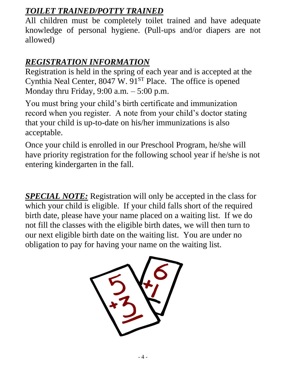## *TOILET TRAINED/POTTY TRAINED*

All children must be completely toilet trained and have adequate knowledge of personal hygiene. (Pull-ups and/or diapers are not allowed)

# *REGISTRATION INFORMATION*

Registration is held in the spring of each year and is accepted at the Cynthia Neal Center,  $8047 \text{ W}$ .  $91^{ST}$  Place. The office is opened Monday thru Friday,  $9:00$  a.m.  $-5:00$  p.m.

You must bring your child's birth certificate and immunization record when you register. A note from your child's doctor stating that your child is up-to-date on his/her immunizations is also acceptable.

Once your child is enrolled in our Preschool Program, he/she will have priority registration for the following school year if he/she is not entering kindergarten in the fall.

*SPECIAL NOTE:* Registration will only be accepted in the class for which your child is eligible. If your child falls short of the required birth date, please have your name placed on a waiting list. If we do not fill the classes with the eligible birth dates, we will then turn to our next eligible birth date on the waiting list. You are under no obligation to pay for having your name on the waiting list.

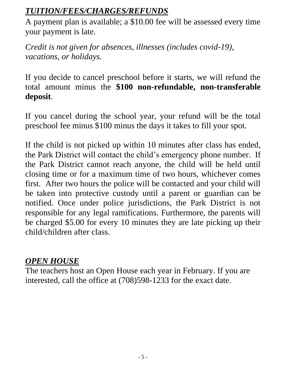# *TUITION/FEES/CHARGES/REFUNDS*

A payment plan is available; a \$10.00 fee will be assessed every time your payment is late.

*Credit is not given for absences, illnesses (includes covid-19), vacations, or holidays.*

If you decide to cancel preschool before it starts, we will refund the total amount minus the **\$100 non-refundable, non-transferable deposit**.

If you cancel during the school year, your refund will be the total preschool fee minus \$100 minus the days it takes to fill your spot.

If the child is not picked up within 10 minutes after class has ended, the Park District will contact the child's emergency phone number. If the Park District cannot reach anyone, the child will be held until closing time or for a maximum time of two hours, whichever comes first. After two hours the police will be contacted and your child will be taken into protective custody until a parent or guardian can be notified. Once under police jurisdictions, the Park District is not responsible for any legal ramifications. Furthermore, the parents will be charged \$5.00 for every 10 minutes they are late picking up their child/children after class.

## *OPEN HOUSE*

The teachers host an Open House each year in February. If you are interested, call the office at (708)598-1233 for the exact date.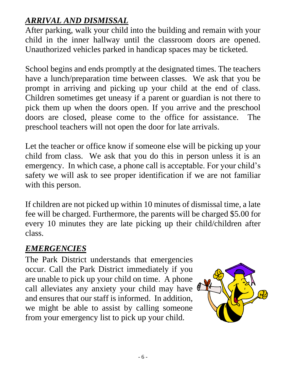# *ARRIVAL AND DISMISSAL*

After parking, walk your child into the building and remain with your child in the inner hallway until the classroom doors are opened. Unauthorized vehicles parked in handicap spaces may be ticketed.

School begins and ends promptly at the designated times. The teachers have a lunch/preparation time between classes. We ask that you be prompt in arriving and picking up your child at the end of class. Children sometimes get uneasy if a parent or guardian is not there to pick them up when the doors open. If you arrive and the preschool doors are closed, please come to the office for assistance. The preschool teachers will not open the door for late arrivals.

Let the teacher or office know if someone else will be picking up your child from class. We ask that you do this in person unless it is an emergency. In which case, a phone call is acceptable. For your child's safety we will ask to see proper identification if we are not familiar with this person.

If children are not picked up within 10 minutes of dismissal time, a late fee will be charged. Furthermore, the parents will be charged \$5.00 for every 10 minutes they are late picking up their child/children after class.

## *EMERGENCIES*

The Park District understands that emergencies occur. Call the Park District immediately if you are unable to pick up your child on time. A phone call alleviates any anxiety your child may have and ensures that our staff is informed. In addition, we might be able to assist by calling someone from your emergency list to pick up your child.

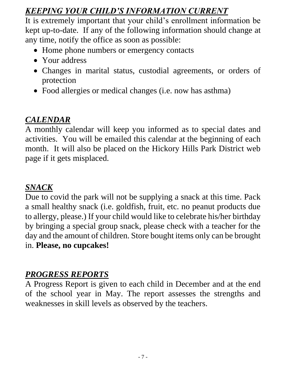# *KEEPING YOUR CHILD'S INFORMATION CURRENT*

It is extremely important that your child's enrollment information be kept up-to-date. If any of the following information should change at any time, notify the office as soon as possible:

- Home phone numbers or emergency contacts
- Your address
- Changes in marital status, custodial agreements, or orders of protection
- Food allergies or medical changes (i.e. now has asthma)

## *CALENDAR*

A monthly calendar will keep you informed as to special dates and activities. You will be emailed this calendar at the beginning of each month. It will also be placed on the Hickory Hills Park District web page if it gets misplaced.

# *SNACK*

Due to covid the park will not be supplying a snack at this time. Pack a small healthy snack (i.e. goldfish, fruit, etc. no peanut products due to allergy, please.) If your child would like to celebrate his/her birthday by bringing a special group snack, please check with a teacher for the day and the amount of children. Store bought items only can be brought in. **Please, no cupcakes!**

#### *PROGRESS REPORTS*

A Progress Report is given to each child in December and at the end of the school year in May. The report assesses the strengths and weaknesses in skill levels as observed by the teachers.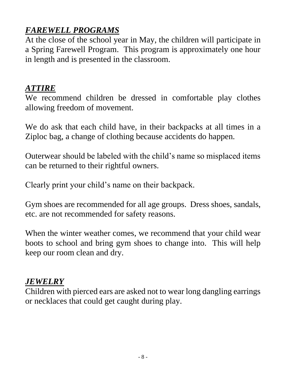# *FAREWELL PROGRAMS*

At the close of the school year in May, the children will participate in a Spring Farewell Program. This program is approximately one hour in length and is presented in the classroom.

#### *ATTIRE*

We recommend children be dressed in comfortable play clothes allowing freedom of movement.

We do ask that each child have, in their backpacks at all times in a Ziploc bag, a change of clothing because accidents do happen.

Outerwear should be labeled with the child's name so misplaced items can be returned to their rightful owners.

Clearly print your child's name on their backpack.

Gym shoes are recommended for all age groups. Dress shoes, sandals, etc. are not recommended for safety reasons.

When the winter weather comes, we recommend that your child wear boots to school and bring gym shoes to change into. This will help keep our room clean and dry.

## *JEWELRY*

Children with pierced ears are asked not to wear long dangling earrings or necklaces that could get caught during play.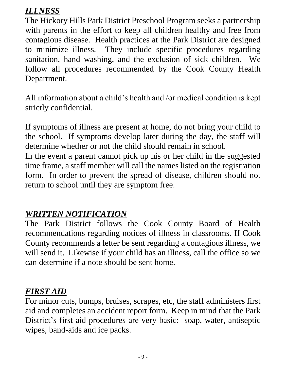## *ILLNESS*

The Hickory Hills Park District Preschool Program seeks a partnership with parents in the effort to keep all children healthy and free from contagious disease. Health practices at the Park District are designed to minimize illness. They include specific procedures regarding sanitation, hand washing, and the exclusion of sick children. We follow all procedures recommended by the Cook County Health Department.

All information about a child's health and /or medical condition is kept strictly confidential.

If symptoms of illness are present at home, do not bring your child to the school. If symptoms develop later during the day, the staff will determine whether or not the child should remain in school.

In the event a parent cannot pick up his or her child in the suggested time frame, a staff member will call the names listed on the registration form. In order to prevent the spread of disease, children should not return to school until they are symptom free.

## *WRITTEN NOTIFICATION*

The Park District follows the Cook County Board of Health recommendations regarding notices of illness in classrooms. If Cook County recommends a letter be sent regarding a contagious illness, we will send it. Likewise if your child has an illness, call the office so we can determine if a note should be sent home.

## *FIRST AID*

For minor cuts, bumps, bruises, scrapes, etc, the staff administers first aid and completes an accident report form. Keep in mind that the Park District's first aid procedures are very basic: soap, water, antiseptic wipes, band-aids and ice packs.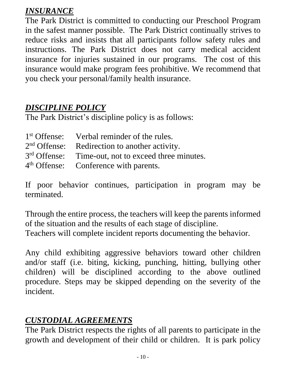## *INSURANCE*

The Park District is committed to conducting our Preschool Program in the safest manner possible. The Park District continually strives to reduce risks and insists that all participants follow safety rules and instructions. The Park District does not carry medical accident insurance for injuries sustained in our programs. The cost of this insurance would make program fees prohibitive. We recommend that you check your personal/family health insurance.

## *DISCIPLINE POLICY*

The Park District's discipline policy is as follows:

| 1 <sup>st</sup> Offense: Verbal reminder of the rules.          |
|-----------------------------------------------------------------|
| 2 <sup>nd</sup> Offense: Redirection to another activity.       |
| 3 <sup>rd</sup> Offense: Time-out, not to exceed three minutes. |
| 4 <sup>th</sup> Offense: Conference with parents.               |

If poor behavior continues, participation in program may be terminated.

Through the entire process, the teachers will keep the parents informed of the situation and the results of each stage of discipline.

Teachers will complete incident reports documenting the behavior.

Any child exhibiting aggressive behaviors toward other children and/or staff (i.e. biting, kicking, punching, hitting, bullying other children) will be disciplined according to the above outlined procedure. Steps may be skipped depending on the severity of the incident.

## *CUSTODIAL AGREEMENTS*

The Park District respects the rights of all parents to participate in the growth and development of their child or children. It is park policy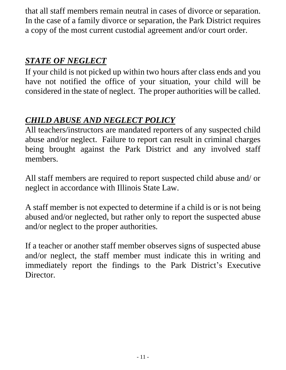that all staff members remain neutral in cases of divorce or separation. In the case of a family divorce or separation, the Park District requires a copy of the most current custodial agreement and/or court order.

## *STATE OF NEGLECT*

If your child is not picked up within two hours after class ends and you have not notified the office of your situation, your child will be considered in the state of neglect. The proper authorities will be called.

# *CHILD ABUSE AND NEGLECT POLICY*

All teachers/instructors are mandated reporters of any suspected child abuse and/or neglect. Failure to report can result in criminal charges being brought against the Park District and any involved staff members.

All staff members are required to report suspected child abuse and/ or neglect in accordance with Illinois State Law.

A staff member is not expected to determine if a child is or is not being abused and/or neglected, but rather only to report the suspected abuse and/or neglect to the proper authorities.

If a teacher or another staff member observes signs of suspected abuse and/or neglect, the staff member must indicate this in writing and immediately report the findings to the Park District's Executive Director.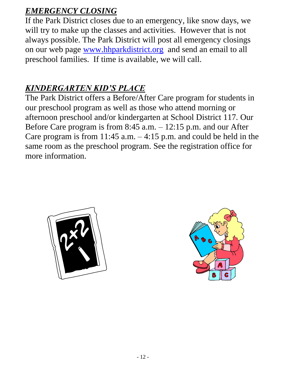# *EMERGENCY CLOSING*

If the Park District closes due to an emergency, like snow days, we will try to make up the classes and activities. However that is not always possible. The Park District will post all emergency closings on our web page [www.hhparkdistrict.org](http://www.hhparkdistrict.org/) and send an email to all preschool families. If time is available, we will call.

# *KINDERGARTEN KID'S PLACE*

The Park District offers a Before/After Care program for students in our preschool program as well as those who attend morning or afternoon preschool and/or kindergarten at School District 117. Our Before Care program is from 8:45 a.m. – 12:15 p.m. and our After Care program is from 11:45 a.m.  $-4:15$  p.m. and could be held in the same room as the preschool program. See the registration office for more information.